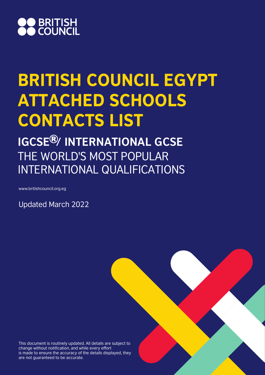

# BRITISH COUNCIL EGYPT ATTACHED SCHOOLS CONTACTS LIST

**IGCSE<sup>®</sup>/ INTERNATIONAL GCSE** THE WORLD'S MOST POPULAR INTERNATIONAL QUALIFICATIONS

www.britishcouncil.org.eg

Updated March 2022

This document is routinely updated. All details are subject to change without notification, and while every effort is made to ensure the accuracy of the details displayed, they are not guaranteed to be accurate.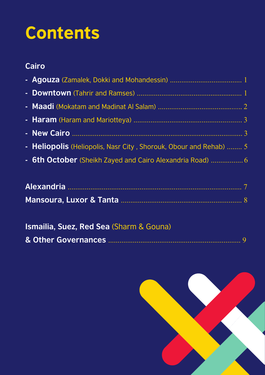# **Contents**

#### **Cairo**

| - Heliopolis (Heliopolis, Nasr City, Shorouk, Obour and Rehab)  5 |
|-------------------------------------------------------------------|
| - 6th October (Sheikh Zayed and Cairo Alexandria Road)  6         |

| <b>Ismailia, Suez, Red Sea (Sharm &amp; Gouna)</b> |  |
|----------------------------------------------------|--|
|                                                    |  |

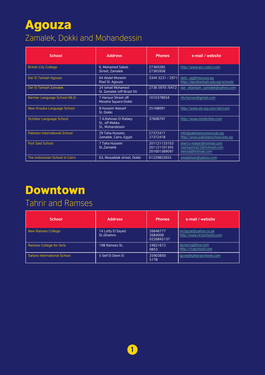# Agouza

### Zamalek, Dokki and Mohandessin

| <b>School</b>                        | <b>Address</b>                                             | <b>Phones</b>                                | e-mail / website                                                           |
|--------------------------------------|------------------------------------------------------------|----------------------------------------------|----------------------------------------------------------------------------|
| <b>British City College</b>          | 6. Mohamed Sakeb<br>Street, Zamalek                        | 27360285<br>27365958                         | http://www.acc-cairo.com                                                   |
| Dar El Tarbiah Agouza                | 64 Abdel Moneim<br>Riad St. Agouza                         | 3344 3231 / 2971                             | dets_ag@msa.eun.eg<br>http://dareltarbiah.edu.eg/schools                   |
| Dar El Tarbiah Zamalek               | 24 Ismail Mohamed<br>St. Zamalek (off Brazil St)           | 2736 5970 /0472                              | dar eltarbiah zamalek@yahoo.com                                            |
| Narmer Language School (NLS)         | 7 Haroun Street off<br>Mesaha Square-Dokki                 | 1010378934                                   | nls.haroun@qmail.com                                                       |
| New Orouba Language School           | 8 Hussein Wassef<br>St. Dokki                              | 25168091                                     | http://www.ols-eg.com/old/com                                              |
| October Language School              | 7 A.Rahman El Rafaey<br>St., off Mekka<br>St., Mohandessin | 37608797                                     | http://www.mhsbritish.com                                                  |
| <b>Pakistan International School</b> | 29 Taha Hussein,<br>Zamalek, Cairo, Egypt                  | 27372417<br>27372418                         | info@pakistanschool.edu.eg<br>http://www.pakistanschool.edu.eq             |
| <b>Port Said School</b>              | 7 Taha Hussein<br>StZamalek                                | 201121133103<br>201121101345<br>201001589097 | sherry-matar@hotmail.com<br>rashayehia22@hotmail.com<br>oeissa@hotmail.com |
| The Indonesian School in Cairo       | 63, Mosaddak street, Dokki                                 | 01229822655                                  | amalalison@yahoo.com                                                       |

# Downtown

#### Tahrir and Ramses

| <b>School</b>                   | <b>Address</b>                   | <b>Phones</b>                     | e-mail / website                                  |
|---------------------------------|----------------------------------|-----------------------------------|---------------------------------------------------|
| New Ramses College              | 14 Lotfy El Sayed<br>St., Ghamra | 26846777<br>2684008<br>0226845137 | nrcigcse@yahoo.co.uk<br>http://www.nrcschools.com |
| <b>Ramses College for Girls</b> | 198 Ramses St                    | 24821672<br>0853                  | igcsercg@live.com<br>http://rcgschool.com         |
| Sahara International School     | 5 Seif El Deen El                | 25903850<br>5178                  | igcse@saharaschools.com                           |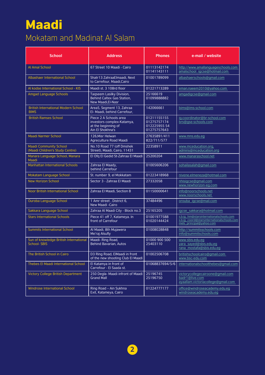# Maadi

#### Mokatam and Madinat Al Salam

| <b>School</b>                                                    | <b>Address</b>                                                                                  | <b>Phones</b>                                            | e-mail / website                                                                                                  |
|------------------------------------------------------------------|-------------------------------------------------------------------------------------------------|----------------------------------------------------------|-------------------------------------------------------------------------------------------------------------------|
| <b>Al Amal School</b>                                            | 67 Street 10 Maadi - Cairo                                                                      | 01113142174<br>01141143111                               | http://www.amallanguageschools.com<br>amalschool igcse@hotmail.com                                                |
| <b>Albashaer International School</b>                            | Shatr13 ZahraaElmaadi, Next<br>to Carrefour, Maadi, Cairo                                       | 01001789099                                              | albashaerschools@gmail.com                                                                                        |
| Al kodse International School - KIS                              | Maadi st. 3 108rd floor                                                                         | 01221713289                                              | eman.naeem2010@yahoo.com                                                                                          |
| <b>Amgad Language Schools</b>                                    | Tagseem Lasilky Division,<br><b>Behind Caltex Gas Station,</b><br>New Maadi, El-Nasr            | 25166619<br>01099888882                                  | amgadigcse@gmail.com                                                                                              |
| <b>British International Modern School</b><br><b>BIMS</b>        | Area5, Segment 13, Zahraa<br>El- Maadi, behind Carrefour,                                       | 142066661                                                | bims@ims-school.com                                                                                               |
| <b>British Ramses School</b>                                     | Piece 2 A Schools area<br>investors complex-Katamya,<br>at the beginning of<br>Ain El Shokhna's | 01211155155<br>01275757174<br>01222595554<br>01275757643 | ig.coordinator@br-school.com<br>brs@gse-schools.com                                                               |
| Maadi Narmer School                                              | 126, Misr Helwan<br>Agreculture Road Maadi                                                      | 27635891/411<br>822/711/577                              | www.mns.edu.eg                                                                                                    |
| <b>Maadi Community School</b><br>(Maadi Children's Study Centre) | No.10 Road 77 (off Dmshek)<br>Street), Maadi, Cairo, 11431                                      | 22358911                                                 | www.mceducation.org,<br>admins@mceducation.org                                                                    |
| Manara Language School, Manara<br>Maadi                          | El Ofg El Gedid St-Zahraa El Maadi                                                              | 25200204                                                 | www.manaraschool.net                                                                                              |
| <b>Manhattan International Schools</b>                           | Zahraa El Maady,<br>behind Carrefour                                                            | 01005606206                                              | sohailasalah@gmail.com                                                                                            |
| Mokatam Language School                                          | St. number 9, el Mokkatam                                                                       | 01223418968                                              | nivene.elmeneza@hotmail.com                                                                                       |
| <b>New Horizon School</b>                                        | Sector 3 - Zahraa El Maadi                                                                      | 27332058                                                 | nhisigcse@gmail.com<br>www.newhorizon-eg.com                                                                      |
| <b>Noor British International School</b>                         | Zahraa El Maadi, Section 8                                                                      | 01150000641                                              | info@noorschools.net<br>www.noorschools.net                                                                       |
| <b>Ouroba Language School</b>                                    | 1 Amr street, District 6,<br>New Maadi -Cairo                                                   | 37484496                                                 | orouba igcse@mail.com                                                                                             |
| Sakkara Language School                                          | Zahraa Al Maadi City - Block no.3                                                               | 25165205                                                 | igcse sakkara@hotmail.com                                                                                         |
| <b>Stars International Schools</b>                               | Piece 41 off 7, Katameya. In<br>front of Carrefour                                              | 01001977588<br>01020144424                               | s.b.ig hm@starsinternationalschools.com<br>s.b.iq coord@starsinternationalschools.com<br>mels principal@yahoo.com |
| <b>Summits International School</b>                              | Al Maadi, 8th Mujawera<br>Me'raj Alsufly                                                        | 01008028848                                              | http://summitsschools.com<br>info@summitschools.com                                                               |
| Sun of knowledge British International<br><b>School-SBIS</b>     | Maadi-Ring Road,<br><b>Behind Bavarian, Autos</b>                                               | 01000 900 500<br>25403110                                | www.sbis.edu.eg<br>yara sayed@sbis.edu.eq<br>rana mostafa@sbis.edu.eg                                             |
| The British School in Cairo                                      | D3 Ring Road, ElMaadi in front<br>of the new shooting Club El Maadi                             | 01002506708                                              | britishschoolcairo@gmail.com<br>www.bsc-edu.com                                                                   |
| Thebes El Maadi International School                             | El Katamya in front of<br>Carrefour - El Saada st.                                              | 01068837694/5/6                                          | internationalschoolthebes@gmail.com                                                                               |
| <b>Victory College British Department</b>                        | 250 Degla- Maadi infront of Maadi<br><b>Grand Mall</b>                                          | 25196745<br>25196750                                     | victorycollegecairoone@gmail.com<br>badr1@live.com<br>ayaallam.victoriacollege@gmail.com                          |
| Windrose International School                                    | Ring Road - Ain Sukhna<br>Exit, Katameya, Cairo                                                 | 01224777177                                              | office@windroseacademy.edu.eg<br>windroseacademy.edu.eg                                                           |

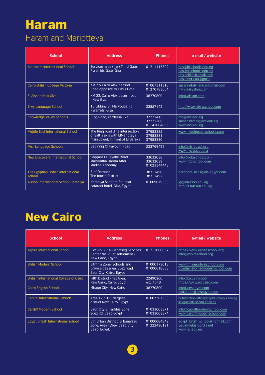# Haram

#### Haram and Mariotteya

| <b>School</b>                                | <b>Address</b>                                                                                            | <b>Phones</b>                       | e-mail / website                                                                            |
|----------------------------------------------|-----------------------------------------------------------------------------------------------------------|-------------------------------------|---------------------------------------------------------------------------------------------|
| <b>Alhossam International School</b>         | Services area (ص). Third Gate.<br>Pyramids Gate, Giza                                                     | 01211113302                         | hbs@hischools.edu.eg<br>has@hischools.edu.eq<br>hbs.british@qmail.com<br>has.american@gmail |
| Cairo British College Victoria               | KM 2.5 Cairo Alex deasret<br>Road opposite to Oasis Hotel                                                 | 01067311316<br>01270783664          | suzannetalkhan63@gmail.com<br>nwnna@yahoo.com                                               |
| El Alsson New Giza                           | KM 22, Cairo Alex desert road<br>- New Giza                                                               | 38270800                            | info@alsson.com                                                                             |
| <b>Elwy Language School</b>                  | 15 Libbiny St. Maryoutia Rd.<br>Pyramids, Giza                                                            | 33857142                            | http://www.elwyschool.com                                                                   |
| <b>Knowledge Valley Schools</b>              | Ring Road, kerdassa Exit                                                                                  | 37221413<br>37221206<br>01141004006 | nfo@kvs.edu.eg<br>samah.kamal@kvs.edu.eq<br>www.kvs.edu.eq                                  |
| Middle East International School             | The Ring road , The intersection<br>of Saft's axis with ElMarioteya<br>main Street. In front of El Baraka | 37983335<br>37983331<br>37983330    | www.middleeast-schools.com                                                                  |
| Misr Language Schools                        | Beginnig Of Fayoum Road                                                                                   | 233769422                           | info@mls-egypt.org<br>www.mls-eqypt.org                                                     |
| <b>New Discovery International School</b>    | Saggara El Seyahe Road,<br>Maryouttia Haram After<br>Madina Academy                                       | 33632038<br>33632039<br>01023344443 | info@ndbischool.com<br>www.ndbischool.com                                                   |
| The Egyptian British International<br>school | 6 of October<br>The fourth District                                                                       | 38311490<br>38311492                | octoberelsians@els-egypt.com                                                                |
| Alsson International School Haraniya         | Haraniya Saqqara Rd, near<br>cataract hotel, Giza, Egypt                                                  | 01009079333                         | ig@elalsson.edu.eg<br>http://ElAlsson.edu.eq                                                |

## New Cairo

| <b>School</b>                                 | <b>Address</b>                                                                          | <b>Phones</b>              | e-mail / website                                                          |
|-----------------------------------------------|-----------------------------------------------------------------------------------------|----------------------------|---------------------------------------------------------------------------|
| <b>Aspire International School</b>            | Plot No. 2 / Al-Banafseg Services<br>Center No. 2 1st settlement -<br>New Cairo, Egypt. | 01211000057                | https://www.aspireschool.org<br>info@aspireschool.org                     |
| <b>British Modern School</b>                  | Eltrfihia Zone, Schools and<br>universities area, Suez road,<br>Badr City, Cairo, Egypt | 01000173013<br>01000618668 | www.bms-modernschool.com<br>bcadmin@bms-modernschool.com                  |
| <b>British International College of Cairo</b> | Fifth District - 1st Area.<br>New Cairo, Cairo, Egypt                                   | 22490200<br>ext. 1548      | info@biccairo.com<br>https://www.biccairo.com                             |
| <b>Cairo English School</b>                   | Mirage City, New Cairo                                                                  | 38270800                   | info@cesegypt.com<br>nshaheen@ceseqypt.com                                |
| <b>Capital International Schools</b>          | Area 17 KH El Nargees<br>district New Cairo, Egypt                                      | 01007307533                | britishschooloffice@capitalschools.edu.eq<br>ks4@capitalschools.edu.eg    |
| <b>Cardiff Modern School</b>                  | Badr City-El Tarfihia Zone<br>Suez Rd. Cairo, Eqypt                                     | 01033003371<br>01033003374 | info@cardiffmodernschool.com<br>www.cardiffmodernschool.com               |
| <b>Egypt British International school</b>     | 5th Urban District, El Banafseg<br>Zone, Area 1, New Cairo City,<br>Cairo, Egypt.       | 01000084849<br>01222496191 | eqypt brtsh school@hotmail.com<br>Gavin@ebis-cordia.net<br>www.isc.edu.eg |

**3**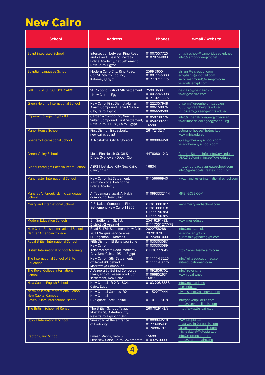# New Cairo

| <b>School</b>                                                      | Address                                                                                                               | <b>Phones</b>                                            | e-mail / website                                                                                      |
|--------------------------------------------------------------------|-----------------------------------------------------------------------------------------------------------------------|----------------------------------------------------------|-------------------------------------------------------------------------------------------------------|
| <b>Egypt integrated School</b>                                     | Intersection between Ring Road<br>and Zaker Hussin St., next to<br>Police Academy, 1st Settlement<br>New Cairo, Egypt | 01007557725<br>01028244883                               | british.school@cambridgeegypt.net<br>info@cambridgeegypt.net                                          |
| Egyptian Language School                                           | Modern Cairo City, Ring Road,<br>Golf St. 5th Compound.<br>Katameya, Egypt                                            | 2599 3600<br>0100 2245008<br>012 10211775                | elsians@els-egypt.com<br>egyptianls@hotmail.com<br>sally mahmoud@els-egyp.com<br>www.els-egypt.com    |
| <b>GULF ENGLISH SCHOOL CAIRO</b>                                   | St. 2 - 55nd District 5th Settlement<br>- New Cairo - Egypt                                                           | 2599 3600<br>0100 2245008<br>012 10211775                | gescairo@gescairo.com<br>www.gescairo.com                                                             |
| <b>Green Heights International School</b>                          | New Cairo, First District, Alaman<br>Alaam Compound, Behind Mirage<br>City, Cairo, Egypt                              | 01222357948<br>01006159926<br>01006650509                | b selim@greenheights.edu.eg<br>IGCSE@greenheights.edu.eg<br>N.Hossam@greengeights.edu.eg              |
| Imperial College Egypt - ICE                                       | Gardenia Compound, Near Taj<br>Sultan Compound, First Settlement,<br>New Cairo, 11528, Cairo, Egypt                   | 01050239226<br>01050239227<br>16590                      | info@imperialcollegeegypt.edu.eg<br>www.imperialcollegeegypt.edu.eg                                   |
| <b>Manor House School</b>                                          | First District, first suburb,<br>new cairo, egypt                                                                     | 26172132-7                                               | octmanorhouse@hotmail.com<br>www.mhis.edu.eg                                                          |
| <b>Gheriany International School</b>                               | Al Mostakbal City Al Shorouk                                                                                          | 01000884458                                              | igcse@gherianyschools.com<br>www.gherianyschools.com                                                  |
| <b>Green Valley School</b>                                         | Mosa Ebn Nosair St, Off Sadat<br>Drive, (Mehowar) Obour City                                                          | 44780801-2-3                                             | General School Info: info@gvs.edu.eg<br>I.G.C.S.E Admin: igcse@gvs.edu.eg                             |
| Global Paradigm Baccalaureate School                               | <b>ASR2 Mostakbal City New Cairo</b><br>Cairo, 11477                                                                  | 16834                                                    | https://gp-baccalaureateschool.com<br>info@gp-baccalaureateschool.com                                 |
| Manchester International School                                    | New Cairo, 1st Settlement,<br>Yasmine Zone, behind the<br><b>Police Academy</b>                                       | 01156666940                                              | www.manchester-international-school.com                                                               |
| Manarat Al Farouk Islamic Language<br>School                       | Al Tagamoa al awal, Al Nakhil<br>compound, New Cairo                                                                  | 010993332114                                             | MFIS-IGCSE.COM                                                                                        |
| Merryland International School                                     | 2 El Nakhil Compound, First<br>Settlement, New Cairo, 11865                                                           | 01201888307<br>01201888310<br>01222190384<br>01222190385 | www.merryland-school.com                                                                              |
| <b>Modern Education Schools</b>                                    | 5th Settlement, St., 1st.<br>District #2 Area #4                                                                      | 25416291/92.<br>01117551277/78                           | www.mes.edu.eg                                                                                        |
| New Cairo British International School                             | Road 5,17th Settlement, New Cairo                                                                                     | 20227582881                                              | info@ncbis.co.uk                                                                                      |
| Narmer American College                                            | 20 El Narguis service area<br>El- Tagamoa El Khames                                                                   | 29201929<br>01224801000                                  | www.nacegypt.com<br>g rlrashidy@nacegypt.com                                                          |
| Royal British International School                                 | Fifth District - El Banafseg Zone<br><b>New Cairo</b>                                                                 | 01030303087<br>01030303089                               |                                                                                                       |
| <b>British International School Madinaty</b>                       | Talat Moustafa Road, Madinaty<br>City, New Cairo, 19511, Egypt                                                        | 01128777645                                              | http://www.bism-cairo.com                                                                             |
| The International School of Elite<br><b>Education</b>              | New Cairo - 5th Settlement.<br>off Road 90, behind<br>Masraweya Compound                                              | 01111143225<br>0111114 3226                              | info@eliteeducation-eg.com<br>eliteeducation-eq.com                                                   |
| The Royal College International<br>School                          | AlJazeera St. Behind Concorde<br>Plaza, end of Teseen road, 5th<br>settlement, New Cairo                              | 01092856702<br>01066852631<br>16811                      | info@royalis.net<br>www.royalis.net                                                                   |
| <b>New Capital English School</b>                                  | New Capital - R-2 D1 SC4,<br>Cairo, Egypt                                                                             | 0103 208 8858                                            | info@nces.edu.eq<br>nces.edu.eg                                                                       |
| Nermine Ismail International School -<br><b>New Capital Campus</b> | New Capital Campus -R2<br><b>New Capital</b>                                                                          | 01152277444                                              | nivan.salem@nis-egypt.com                                                                             |
| Seven Pillars International school                                 | R2 Square, new Capital                                                                                                | 01101117018                                              | info@sevenpillarsis.com<br>https://sevenpillarsis.com                                                 |
| The British School, Al Rehab                                       | The British School, Talaat<br>Mostafa St,. Al-Rehab City,<br>New Cairo, Egypt 11841                                   | 26070291/2/3                                             | http://www.tbs-cairo.com                                                                              |
| Utopia International School                                        | Suez road at the entrance<br>of Badr city.                                                                            | 01000844519<br>01273495431<br>0120886197                 | www.utopiais.com<br>doaa.yassin@utopiais.com<br>suzan.nour@utopiais.com<br>micheal.talat@utopiais.com |
| <b>Repton Cairo School</b>                                         | Emaar, Mivida, Gate 6<br>First New Cairo, Cairo Governorate                                                           | 15690<br>010325 00001                                    | info@reptoncairo.org<br>https://reptoncairo.org                                                       |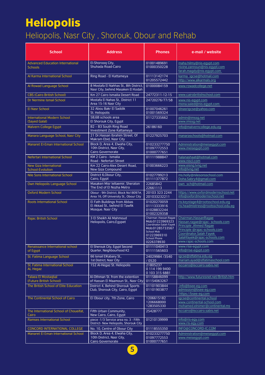# **Heliopolis**

#### Heliopolis, Nasr City , Shorouk, Obour and Rehab

| <b>School</b>                                             | Address                                                                                | <b>Phones</b>                                                                                                                                                      | e-mail / website                                                                                                                                                                                         |
|-----------------------------------------------------------|----------------------------------------------------------------------------------------|--------------------------------------------------------------------------------------------------------------------------------------------------------------------|----------------------------------------------------------------------------------------------------------------------------------------------------------------------------------------------------------|
| <b>Advanced Education International</b><br><b>Schools</b> | El-Shoroog City,<br>Shuhada Road-Cairo                                                 | 01001489691<br>01000350228                                                                                                                                         | maha.hilmy@nis-egypt.com<br>nivine.zannoun@nis-egypt.com<br>farah.magdy@nis-egypt.com                                                                                                                    |
| Al Karma International School                             | Ring Road - El Kattameya                                                               | 01113142174<br>01205572442                                                                                                                                         | karma igcse@hotmail.com<br>http://www.alkarmals.org                                                                                                                                                      |
| Al Rowad Language School                                  | 8 Mostafa El Nahhas St., 8th District,<br>Nasr City, behind Masaken El Kodah           | 01000084159                                                                                                                                                        | www.rowadcollege.net                                                                                                                                                                                     |
| <b>CBS (Cairo British School)</b>                         | Km 27 Cairo Ismailia Desert Road                                                       | 24772311-12-15                                                                                                                                                     | www.cairobritishschool.com                                                                                                                                                                               |
| Dr Nermine Ismail School                                  | Mostafa El Nahas St., District 11<br>Area 15-16 Nasr City                              | 24720276/77/58                                                                                                                                                     | www.nis-egypt.com<br>mona.saied@nis-egypt.com                                                                                                                                                            |
| El Nasr School                                            | 32 Abou Bakr El Saddik<br>St. Heliopolis                                               | 01007046261<br>01001569324                                                                                                                                         | elnasrigcse@yahoo.com                                                                                                                                                                                    |
| <b>International Modern School</b><br>(Sayed Galal)       | 5B.6B schools area<br>El Shorouk City, Egypt                                           | 01127335662                                                                                                                                                        | <u>admin@imssg.net</u><br>www.imssg.net                                                                                                                                                                  |
| Malvern College Egypt                                     | B2 - B3 South Ring Road<br>Investment Zone Kattameya                                   | 26186160                                                                                                                                                           | info@malverncollege.edu.eg                                                                                                                                                                               |
| Manara Language School, Nasr City                         | 21 Dr.Hassan Ibrahim Street, Of<br>Makram Ebid, Nasr City                              | 01227925703                                                                                                                                                        | manaraschools@hotmail.com                                                                                                                                                                                |
| Manaret El-Eman International School                      | Block D, Area 4, Elwaha City,<br>10th District, Nasr City,<br><b>Cairo Governorate</b> | 010233277750<br>01097772553<br>01000777651                                                                                                                         | Administration@meisegypt.com<br>www.meisegypt.com                                                                                                                                                        |
| Nefertari International School                            | KM 2 Cairo - Ismalia<br>Road - Nefertari Street                                        | 01111988847                                                                                                                                                        | halanashaat@hotmail.com<br>www.niscl.com                                                                                                                                                                 |
| <b>New Giza International</b><br><b>School-Evolution</b>  | Km 22 Cairo-Alex Desert Road,<br><b>New Giza Compound</b>                              | 01003666223                                                                                                                                                        | www.eisng.lvng.net<br>info@lvng.net                                                                                                                                                                      |
| Nile Sons International School                            | District 6, Obour City,<br>Cairo, Egypt                                                | 01027799213<br>01111377872                                                                                                                                         | ms.holly@nilesonsschool.com<br>Doha.Sabry4@gmail.com                                                                                                                                                     |
| Own Heliopolis Language School                            | Masaken Misr leltaemir, Sheraton<br>The End of El Nozha Metro                          | 22685842<br>22661113                                                                                                                                               | own sch@hotmail.com                                                                                                                                                                                      |
| <b>Oxford Modern School</b>                               | Obour - 9th District, Block No18097#.<br>Area 16, Off University St., Obour City       | 20103 323 2244<br>201033232211                                                                                                                                     | https://www.oxfordmodernschool.net<br>info@oxfordmodernschool.net                                                                                                                                        |
| <b>Roots International School</b>                         | El Fath Buildings from Abbas<br>El Akkad St., behind El Tawfik<br>Mosque. Nasr City    | 01020270059<br>01113333916<br>01028832244<br>01002329358                                                                                                           | ris.keystage4@rootsschool.edu.eg<br>ris.headmistress@rootsschool.edu.eg                                                                                                                                  |
| <b>Rajac British School</b>                               | 3 El Sheikh Ali Mahmoud<br>Heliopolis, Cairo, Egypet                                   | Chairman : Hassan Ragae<br>Mob:01223969323<br>Coordinator: Salah Fayek<br>Mob:01285733567<br><b>School Mob</b><br>01223969310<br><b>School Phone</b><br>0226378930 | Chairman, Hassan Ragae<br>Hassan.ragae@rajac-schools.com<br>Principle , Ahmed Ragae<br>Principle @rajac-schools.com<br>Coordinator, Salah Fayek<br>Salahfayek@rajac-schools.com<br>www.rajac-schools.com |
| Renaissance International school<br>of Egypt              | El Sherouk City, Egypt Second<br>Quarter, Neighbourhood K2                             | 01111040413<br>01111565603                                                                                                                                         | www.rise-egypt.com<br>info@rise-egypt.com                                                                                                                                                                |
| St. Fatima Language School                                | 66 Ismail ElKabany St<br>1st District, Nasr City                                       | 24029984 /3540<br>/0520                                                                                                                                            | igcse@stfatima.edu.eq<br>mariam.ayad@stfatimaschool.com                                                                                                                                                  |
| St. Fatima International School<br>AL Hegaz               | 152 Al-Hegaz St. Heliopolis                                                            | 21805237<br>01141999400<br>0 103 315 6881                                                                                                                          | isccairo@isccairo.sabis.net                                                                                                                                                                              |
| <b>Talaea El Mostagbal</b><br>(Future British School)     | Al-Othman St. from the extention<br>of Hassan El Maamoun St., Nasr City                | 01158846099<br>01154063267                                                                                                                                         | http://www.futuresnet.net/British.htm                                                                                                                                                                    |
| The British School of Elite Education                     | <b>District 4. Behind Shorouk Sports</b><br>Club, Shorouk City, Cairo, Egypt           | 01101903844<br>01101903877                                                                                                                                         | info@bsee-eg.com<br>admission@bsee-eq.com<br>https://bsee-eg.com                                                                                                                                         |
| The Continental School of Cairo                           | El Obour city, 7th Zone, Cairo                                                         | 1206615182<br>1206668000<br>1283505330                                                                                                                             | igcse@continental.school<br>www.continental-school.com<br>mohamed.elnimer@continental.ms                                                                                                                 |
| The International School of Choueifat,<br>Cairo           | Fifth Urban Community,<br>New Cairo, Cairo, Egypt                                      | 25428777                                                                                                                                                           | isccairo@isccairo.sabis.net                                                                                                                                                                              |
| <b>Ramses International School</b>                        | piece -1/3 Service area no. 3 - Fifth<br>District- New Heliopolis, Shorouk City        | 01210139999                                                                                                                                                        | info@ris-egy.com<br><u>www.ris-egy.com</u>                                                                                                                                                               |
| <b>CONCORD INTERNATIONAL COLLEGE</b>                      | No. 10, Centre of Obour City                                                           | 01118555350                                                                                                                                                        | INFO@CONCORD-IC.COM                                                                                                                                                                                      |
| Manaret El Eman International School                      | Block D, Area 4, Elwaha City,<br>10th District, Nasr City,                             | 010233277750<br>01097772553                                                                                                                                        | Administration@meisegypt.com<br>www.meisegypt.com                                                                                                                                                        |
|                                                           | Cairo Governorate                                                                      | 01000777651                                                                                                                                                        |                                                                                                                                                                                                          |

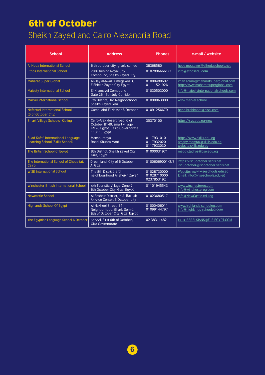#### 6th of October

#### Sheikh Zayed and Cairo Alexandria Road

| <b>School</b>                                                                | <b>Address</b>                                                                                                | <b>Phones</b>                            | e-mail / website                                                                 |
|------------------------------------------------------------------------------|---------------------------------------------------------------------------------------------------------------|------------------------------------------|----------------------------------------------------------------------------------|
| Al Hoda International School                                                 | 6 th october city, gharb sumed                                                                                | 38368580                                 | heba.moutawei@alhodaschools.net                                                  |
| <b>Ethos International School</b>                                            | 20/6 behind Royal City<br>Compound, Sheikh Zayed City,                                                        | 01028966661/2                            | info@ethosedu.com                                                                |
| <b>Maharat Super Global</b>                                                  | Al-Hay al-Awal, Almegawra 3,<br><b>ElShiekh Zayed City Egypt</b>                                              | 01000480602<br>01111521926               | iman.arram@maharatsuperglobal.com<br>http://www.maharatsuperglobal.com           |
| <b>Majesty International School</b>                                          | El Khamayel Compound<br>Gate 26 - 6th July Corridor                                                           | 01030503000                              | info@majestyinternationalschools.com                                             |
| Marvel international school                                                  | 7th District, 3rd Neighborhood,<br>Sheikh Zayed Giza                                                          | 01090063000                              | www.marvel.school                                                                |
| Nefertari International School<br>(6 of October City)                        | Gamal Abd El Nasser 6 October                                                                                 | 01091256679                              | hendibrahimoct@niscl.com                                                         |
| <b>Smart Village Schools- Kipling</b>                                        | Cairo-Alex desert road, 6 of<br>October B149, smart village,<br>KM28 Egypt, Cairo Governorate<br>11311, Egypt | 35370100                                 | https://svs.edu.eq/new                                                           |
| Suad Kafafi International Language<br><b>Learning School (Skills School)</b> | Mansoureaya<br>Road, Shubra Mant                                                                              | 0117931010<br>0117932020<br>0117933030   | https://www.skills.edu.eq<br>amany.momtaz@skills.edu.eq<br>website:skills.edu.eg |
| The British School of Egypt                                                  | 8th District, Sheikh Zayed City,<br>Giza, Egypt                                                               | 01000031971                              | magdy.tadros@bse.edu.eg                                                          |
| The International School of Choueifat,<br>Cairo                              | Dreamland, City of 6 October<br>Al Giza                                                                       | 01006069001/2/3                          | https://isc6october.sabis.net<br>isc6october@iscoctober.sabis.net                |
| <b>WISE International School</b>                                             | The 8th District. 3rd<br>neighbourhood Al Sheikh Zayed                                                        | 01028730000<br>01028710000<br>0237853192 | Website: www.wiseschools.edu.eg<br>Email: info@wiseschools.edu.eg                |
| Winchester British International School                                      | 4th Touristic Village, Zone 7,<br>6th October City, Giza, Egypt.                                              | 01101945543                              | www.winchestereg.com<br>info@winchestereg.com                                    |
| <b>Newcastle School</b>                                                      | Al Bashair District, in Al Bashair<br>Service Center, 6 October city                                          | 01023680517                              | info@NewCastle.edu.eg                                                            |
| <b>Highlands School Of Egypt</b>                                             | Al-Nakheel Street, 14th<br>Neighborhood, Gharb Somid,<br>6th of October City, Giza, Egypt                     | 01000406011<br>01099144797               | www.highlands-schooleg.com<br>info@highlands-schooleg.com                        |
| The Eqyptian Language School 6 October                                       | School, First 6th of October,<br>Giza Governorate                                                             | 02 38311482                              | OCTOBERELSIANS@ELS-EGYPT.COM                                                     |

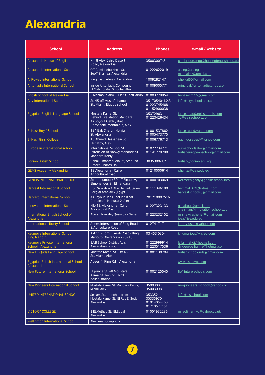# Alexandria

| <b>School</b>                                               | <b>Address</b>                                                                                              | <b>Phones</b>                                      | e-mail / website                                             |
|-------------------------------------------------------------|-------------------------------------------------------------------------------------------------------------|----------------------------------------------------|--------------------------------------------------------------|
| Alexandria House of English                                 | Km 8 Alex-Cairo Desert<br>Road, Alexandria                                                                  | 35003007/8                                         | cambridge.prog@houseofenglish.edu.eg                         |
| Alexandria International School                             | Off Gamila Abu Hreid St<br>Seoff Shamaa, Alexandria                                                         | 01222622019                                        | ais-eg@ais-eg.net<br>mannalmz@gmail.com                      |
| Al Rowad International School                               | Ring road, Abees, Alexandria                                                                                | 1009282147                                         | r.heikal60@gmail.com                                         |
| <b>Antoniadis International School</b>                      | Inside Antoniadis Compound,<br>El Mahmoudia, Smouha, Alex.                                                  | 01009005771                                        | principal@antoniadisschool.com                               |
| <b>British School of Alexandria</b>                         | 5 Mahmoud Abo El Ela St., Kafr Abdo                                                                         | 01003229954                                        | hebaselim77@gmail.com                                        |
| <b>City International School</b>                            | St. 45 off Mustafa Kamel<br>St., Miami, Elguds school                                                       | 35170540/1.2.3.4<br>01223745468<br>01152900038     | info@cityschool-alex.com                                     |
| Egyptian English Language School                            | Mostafa Kamel St.,<br>Behind Fire station Mandara,<br>As Soyouf Qebli (Izbat<br>Derbanah), Montaza 2, Alex. | 35372963<br>01223426434                            | igcse.head@eelsschools.com<br>ig@eelsschools.com             |
| El-Nasr Boys' School                                        | 134 Bab Sharq - Horria<br>St.-Alexandria                                                                    | 01001537862<br>01005473775                         | igcse_ebs@yahoo.com                                          |
| El-Nasr Girls' College                                      | 13 Ahmed Hassanein St<br>Elshatby, Alex                                                                     | 01006776713                                        | egc igcsedept@yahoo.com                                      |
| European international school                               | International School St.<br>Extension of Nabwy Mohands St.<br>Mandara Kebly                                 | 01022234271<br>01141229298                         | euroschoolsalex@gmail.com<br>britisheuropeanschool@gmail.com |
| <b>Forsan British School</b>                                | Canal Elmahmoudia St., Smouha.<br>Before Pharos Uni.                                                        | 3835380/1.2                                        | british@forsan.edu.eq                                        |
| <b>GEMS Academy Alexandria</b>                              | 13 Alexandria - Cairo<br>Agricultural road                                                                  | 01210000614                                        | r.hamza@gaa.edu.eg                                           |
| <b>GENIUS INTERNATIONAL SCHOOL</b>                          | Street number: 30 off Elnabawy<br>Elmohandes St. Elmandara                                                  | 01000703069                                        | Nermeen.ghaly@geniusschool.info                              |
| <b>Harvest International School</b>                         | Hod Sakrah WA Abu Hamad, Qesm<br>Borg Al Arab, Alex., Egypt                                                 | 01111346190                                        | hemmat 62@hotmail.com<br>harvestschools3@gmail.com           |
| <b>Harvard International School</b>                         | As Soyouf Qebli (Include Izbat<br>Derbanah), Montaza 2, Alex.                                               | 201210007516                                       |                                                              |
| <b>Innovation International School</b>                      | Kilo 13, Alexandria - Cairo<br><b>Agricultural Road</b>                                                     | 01227323133                                        | nshaltout@gmail.com<br>chairman@innovation-schools.com       |
| International British School of<br>Alexandria               | Abu an Nawatir, Qesm Sidi Gaber,                                                                            | 01223232152                                        | mrs.rawyasherief@gmail.com<br>ibsa@ise.edu.eg                |
| <b>International Liberty School</b>                         | Abees, Intersection of Ring Road<br>& Agriculture Road                                                      | 01274171711                                        | libertyiqsce@yahoo.com                                       |
| Kaumeya International School -<br><b>King Mariout</b>       | KM 11 - Borg El Arab Road - King<br>Mariout - Alexandria - 23713                                            | 03 453 0304                                        | kingmariout@kls-eg.com                                       |
| Kaumeya Private International<br>School - Alexandria        | <b>8A,B School District-Abis</b><br>Alexandria-Egypt                                                        | 01222999914<br>01223517536                         | laila mahdi@hotmail.com<br>dr-george-hanna@hotmail.com       |
| New EL-Quds Language School                                 | Mostafa Kamel St., Off 45<br>St., Miami, Alex.                                                              | 01001130704                                        | britishschoolquds@gmail.com                                  |
| Egyptian British International School,<br><b>Alexandria</b> | Abees 4, Ring Rd - Alexandria                                                                               |                                                    | www.els-egypt.com                                            |
| <b>New Future International School</b>                      | El prince St. off Moustafa<br>Kamal St. behind Third<br>police station                                      | 01002125545                                        | fis@future-schools.com                                       |
| <b>New Pioneers International School</b>                    | Mostafa Kamel St. Mandara Kebly,<br>Miami, Alex                                                             | 35003007<br>35003008                               | newpioneers school@yahoo.com                                 |
| UNITED INTERNATIONAL SCHOOL                                 | Seklam St., branched from<br>Mostafa Kamel St., El Ras El Soda,<br>Alexandria                               | 35335211<br>35335970<br>01014054260<br>01210527151 | info@ulsschool.com                                           |
| <b>VICTORY COLLEGE</b>                                      | 8 ELMethag St., ELEgbal,<br>Alexandria                                                                      | 01001932236                                        | m soliman vc@yahoo.co.uk                                     |
| <b>Wellington International School</b>                      | Alex West Compound                                                                                          |                                                    |                                                              |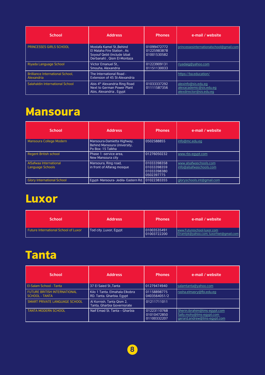| <b>School</b>                                         | <b>Address</b>                                                                                                      | <b>Phones</b>                             | e-mail / website                                                          |
|-------------------------------------------------------|---------------------------------------------------------------------------------------------------------------------|-------------------------------------------|---------------------------------------------------------------------------|
| <b>PRINCESSES GIRLS SCHOOL</b>                        | Mostafa Kamel St. Behind<br>El Malaha Fire Station, As<br>Soyouf Qebli (Include Izbat<br>Derbanah), Qism El-Montaza | 01099472772<br>01225983878<br>01001530582 | princessesinternationalschool@gmail.com                                   |
| Riyada Language School                                | <b>Victor Emanuel St</b><br>Smouha, Alexandria                                                                      | 01223909131<br>01151130033                | riyadaiq@yahoo.com                                                        |
| <b>Brilliance International School,</b><br>Alexandria | The International Road -<br>Extension of 45 St-Alexandria                                                           |                                           | https://ba.education/                                                     |
| Salahaldin International School                       | Abis 4 <sup>th</sup> Alexandria Ring Road<br>Next to German Power Plant<br>Abis, Alexandria, Egypt                  | 01033337292<br>01111587356                | alexinfo@sis.edu.eq<br>alexacademic@sis.edu.eq<br>alexdirector@sis.edu.eq |

# Mansoura

| <b>School</b>                              | <b>Address</b>                                                                 | <b>Phones</b>                                           | e-mail / website                                  |
|--------------------------------------------|--------------------------------------------------------------------------------|---------------------------------------------------------|---------------------------------------------------|
| Mansoura College Modern                    | Mansoura-Damietta Highway,<br>Behind Mansoura University.<br>Po Box: 15 Talkha | 0502588855                                              | info@mc.edu.eg                                    |
| <b>Regent British school</b>               | Phase 1 -service area.<br>New Mansoura city                                    | 01276050232                                             | www.rbs-eavpt.com                                 |
| AlSafwaa International<br>Language Schools | Mansoura, Ring road,<br>in front of Alfarag mosque                             | 01033398358<br>01033398359<br>01033398380<br>0502397775 | www.alsafwaschools.com<br>info@alsafwaschools.com |
| <b>Glory International School</b>          | Egypt- Mansoura- Jedila- Eastern Rd.                                           | 01022383355                                             | gloryschools.int@gmail.com                        |

### Luxor

| <b>School</b>                               | <b>Address</b>         | <b>Phones</b>              | e-mail / website                                                      |
|---------------------------------------------|------------------------|----------------------------|-----------------------------------------------------------------------|
| <b>Future International School of Luxor</b> | Tod city, Luxor, Egypt | 01003535491<br>01003722200 | www.Futureschool-luxor.com<br>Elramlyk@yahoo.com; luxorhiet@gmail.com |

# Tanta

| <b>School</b>                                                | <b>Address</b>                                              | <b>Phones</b>                             | e-mail / website                                                                        |
|--------------------------------------------------------------|-------------------------------------------------------------|-------------------------------------------|-----------------------------------------------------------------------------------------|
| El-Salam School - Tanta                                      | 37 El Saied St., Tanta                                      | 01279474940                               | salamtanta@yahoo.com                                                                    |
| <b>FUTURE BRITISH INTERNATIONAL</b><br><b>SCHOOL - TANTA</b> | Kilo 1 Tanta, Elmahala Elkobra<br>RD. Tanta. Gharbia. Egypt | 01158898775<br>0403564051/2               | rasha.elmasry@fbi.edu.eg                                                                |
| SMART PRIVATE LANGUAGE SCHOOL                                | Al Kornish, Tanta Qism 2,<br>Tanta, Gharbia Governorate     | 01211711011                               |                                                                                         |
| <b>TANTA MODERN SCHOOL</b>                                   | Naif Emad St. Tanta - Gharbia                               | 01223110768<br>01010472850<br>01100332207 | Sherin.ibrahim@tms-egypt.com<br>Sally.mohy@tms-eqypt.com<br>gerard.andrew@tms-eqypt.com |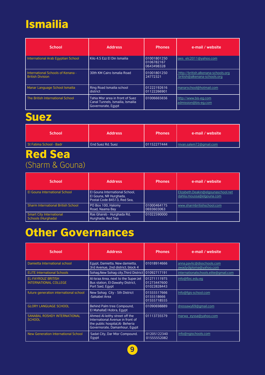## Ismailia

| <b>School</b>                                                | <b>Address</b>                                                                              | <b>Phones</b>                           | e-mail / website                                                    |
|--------------------------------------------------------------|---------------------------------------------------------------------------------------------|-----------------------------------------|---------------------------------------------------------------------|
| International Arab Eqyptian School                           | Kilo 4.5 Ezz El Din Ismailia                                                                | 01001801250<br>0106782167<br>0643498328 | iaes elc2011@yahoo.com                                              |
| International Schools of Kenana -<br><b>British Division</b> | 30th KM Cairo Ismalia Road                                                                  | 01001801250<br>24772321                 | http://british.alkenana-schools.org<br>british@alkenana-schools.org |
| Manar Language School Ismailia                               | Ring Road Ismailia school<br>district                                                       | 01222192616<br>01122266901              | manarschool@hotmail.com                                             |
| The British International School                             | Tahia Misr area in front of Suez<br>Canal Tunnels, Ismailia, Ismailia<br>Governorate, Egypt | 01006665656                             | http://www.bis-eg.com<br>admission@bis-eq.com                       |

#### Suez

| <b>School</b>           | <b>Address</b>    | <b>Phones</b> | e-mail / website        |
|-------------------------|-------------------|---------------|-------------------------|
| St Fatima School - Badr | End Suez Rd. Suez | 01152277444   | nivan.salem72@qmail.com |

#### Red Sea (Sharm & Gouna)

| <b>School</b>                                         | <b>Address</b>                                                                          | <b>Phones</b>             | e-mail / website                                                |
|-------------------------------------------------------|-----------------------------------------------------------------------------------------|---------------------------|-----------------------------------------------------------------|
| El Gouna International School                         | El Gouna International School.<br>El Gouna, NR Hurghada,<br>Postal Code 84513. Red Sea. |                           | Elizabeth.Deakin@elgounaschool.net<br>dahlia.moussa@elgouna.com |
| <b>Sharm International British School</b>             | PO Box 100, Halomy<br>Road, Naama Bay                                                   | 01000464175<br>0693603063 | www.sharmbritishschool.com                                      |
| <b>Smart City International</b><br>Schools (Hurghada) | Ras Ghareb - Hurghada Rd.<br>Hurghada, Red Sea                                          | 01022590000               |                                                                 |

### Other Governances

| <b>School</b>                                             | <b>Address</b>                                                                                                                          | <b>Phones</b>                             | e-mail / website                                     |
|-----------------------------------------------------------|-----------------------------------------------------------------------------------------------------------------------------------------|-------------------------------------------|------------------------------------------------------|
| Damietta International school                             | Egypt, Damietta, New damietta,<br>3rd Avenue, 2nd district, block 4                                                                     | 01018914666                               | anna.pavlic@disschools.com<br>awadydiploma@yahoo.com |
| <b>ELITE International Schools</b>                        | Sohag, New Sohag city, Third District                                                                                                   | 01092717191                               | internationalschools.elite@gmail.com                 |
| <b>EL-FAYROUZ BRITISH</b><br><b>INTERNATIONAL COLLEGE</b> | Al-Israa Area, next to the SuperJet<br>Bus station, El-Dawahy District,<br>Port Said, Egypt                                             | 01271111975<br>01273447600<br>01022828443 | info@fbic.edu.eq                                     |
| future generation international school                    | New Sohaq City - 5th District<br>-Salsabel Area                                                                                         | 01555517666<br>0155518666<br>01555718555  | Info@fgis-school.com                                 |
| <b>GLORY LANGUAGE SCHOOL</b>                              | Behind Palm tree Compound.<br>El MahallaEl Kobra, Egypt                                                                                 | 01090698889                               | dressawy69@gmail.com                                 |
| SANABAL ROSHDY INTERNATIONAL<br><b>SCHOOL</b>             | Ahmed Al-leithy street off the<br>International Avenue in front of<br>the public hospital, Al- Beheria<br>Governorate, Damanhour, Egypt | 01113735579                               | marwa eyssa@yahoo.com                                |
| New Generation International School                       | Sadat City, Dar Misr Compound.<br>Egypt                                                                                                 | 01205122340<br>01555552082                | info@ngischools.com                                  |